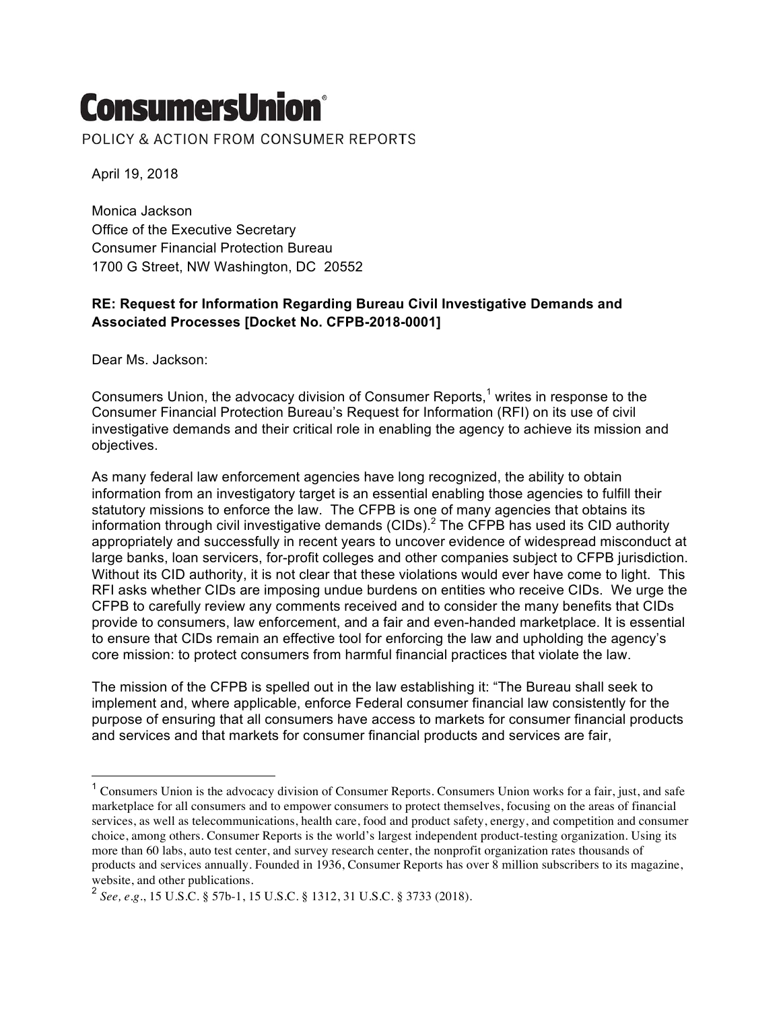## **ConsumersUnion®**

POLICY & ACTION FROM CONSUMER REPORTS

April 19, 2018

Monica Jackson Office of the Executive Secretary Consumer Financial Protection Bureau 1700 G Street, NW Washington, DC 20552

## **RE: Request for Information Regarding Bureau Civil Investigative Demands and Associated Processes [Docket No. CFPB-2018-0001]**

Dear Ms. Jackson:

Consumers Union, the advocacy division of Consumer Reports,<sup>1</sup> writes in response to the Consumer Financial Protection Bureau's Request for Information (RFI) on its use of civil investigative demands and their critical role in enabling the agency to achieve its mission and objectives.

As many federal law enforcement agencies have long recognized, the ability to obtain information from an investigatory target is an essential enabling those agencies to fulfill their statutory missions to enforce the law. The CFPB is one of many agencies that obtains its information through civil investigative demands (CIDs).<sup>2</sup> The CFPB has used its CID authority appropriately and successfully in recent years to uncover evidence of widespread misconduct at large banks, loan servicers, for-profit colleges and other companies subject to CFPB jurisdiction. Without its CID authority, it is not clear that these violations would ever have come to light. This RFI asks whether CIDs are imposing undue burdens on entities who receive CIDs. We urge the CFPB to carefully review any comments received and to consider the many benefits that CIDs provide to consumers, law enforcement, and a fair and even-handed marketplace. It is essential to ensure that CIDs remain an effective tool for enforcing the law and upholding the agency's core mission: to protect consumers from harmful financial practices that violate the law.

The mission of the CFPB is spelled out in the law establishing it: "The Bureau shall seek to implement and, where applicable, enforce Federal consumer financial law consistently for the purpose of ensuring that all consumers have access to markets for consumer financial products and services and that markets for consumer financial products and services are fair,

 $1$  Consumers Union is the advocacy division of Consumer Reports. Consumers Union works for a fair, just, and safe marketplace for all consumers and to empower consumers to protect themselves, focusing on the areas of financial services, as well as telecommunications, health care, food and product safety, energy, and competition and consumer choice, among others. Consumer Reports is the world's largest independent product-testing organization. Using its more than 60 labs, auto test center, and survey research center, the nonprofit organization rates thousands of products and services annually. Founded in 1936, Consumer Reports has over 8 million subscribers to its magazine, website, and other publications.

<sup>2</sup> *See, e.g.*, 15 U.S.C. § 57b-1, 15 U.S.C. § 1312, 31 U.S.C. § 3733 (2018).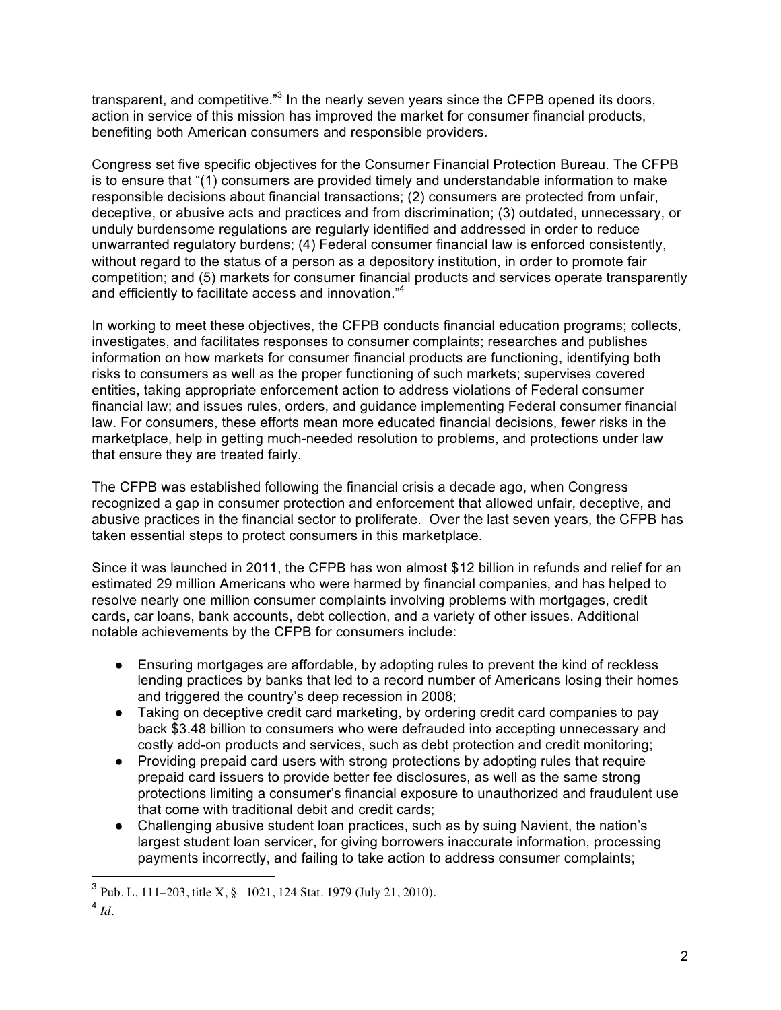transparent, and competitive."<sup>3</sup> In the nearly seven years since the CFPB opened its doors, action in service of this mission has improved the market for consumer financial products, benefiting both American consumers and responsible providers.

Congress set five specific objectives for the Consumer Financial Protection Bureau. The CFPB is to ensure that "(1) consumers are provided timely and understandable information to make responsible decisions about financial transactions; (2) consumers are protected from unfair, deceptive, or abusive acts and practices and from discrimination; (3) outdated, unnecessary, or unduly burdensome regulations are regularly identified and addressed in order to reduce unwarranted regulatory burdens; (4) Federal consumer financial law is enforced consistently, without regard to the status of a person as a depository institution, in order to promote fair competition; and (5) markets for consumer financial products and services operate transparently and efficiently to facilitate access and innovation."<sup>4</sup>

In working to meet these objectives, the CFPB conducts financial education programs; collects, investigates, and facilitates responses to consumer complaints; researches and publishes information on how markets for consumer financial products are functioning, identifying both risks to consumers as well as the proper functioning of such markets; supervises covered entities, taking appropriate enforcement action to address violations of Federal consumer financial law; and issues rules, orders, and guidance implementing Federal consumer financial law. For consumers, these efforts mean more educated financial decisions, fewer risks in the marketplace, help in getting much-needed resolution to problems, and protections under law that ensure they are treated fairly.

The CFPB was established following the financial crisis a decade ago, when Congress recognized a gap in consumer protection and enforcement that allowed unfair, deceptive, and abusive practices in the financial sector to proliferate. Over the last seven years, the CFPB has taken essential steps to protect consumers in this marketplace.

Since it was launched in 2011, the CFPB has won almost \$12 billion in refunds and relief for an estimated 29 million Americans who were harmed by financial companies, and has helped to resolve nearly one million consumer complaints involving problems with mortgages, credit cards, car loans, bank accounts, debt collection, and a variety of other issues. Additional notable achievements by the CFPB for consumers include:

- Ensuring mortgages are affordable, by adopting rules to prevent the kind of reckless lending practices by banks that led to a record number of Americans losing their homes and triggered the country's deep recession in 2008;
- Taking on deceptive credit card marketing, by ordering credit card companies to pay back \$3.48 billion to consumers who were defrauded into accepting unnecessary and costly add-on products and services, such as debt protection and credit monitoring;
- Providing prepaid card users with strong protections by adopting rules that require prepaid card issuers to provide better fee disclosures, as well as the same strong protections limiting a consumer's financial exposure to unauthorized and fraudulent use that come with traditional debit and credit cards;
- Challenging abusive student loan practices, such as by suing Navient, the nation's largest student loan servicer, for giving borrowers inaccurate information, processing payments incorrectly, and failing to take action to address consumer complaints;

 <sup>3</sup> Pub. L. 111–203, title X, § 1021, 124 Stat. 1979 (July 21, 2010).

 $4$  *Id*.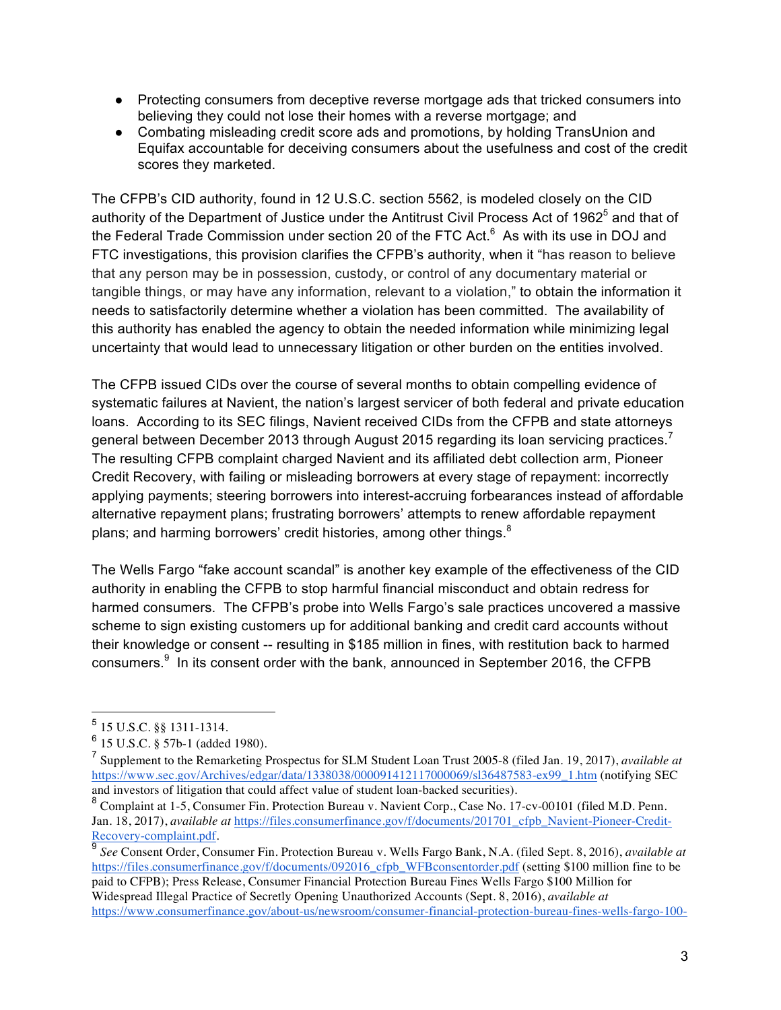- Protecting consumers from deceptive reverse mortgage ads that tricked consumers into believing they could not lose their homes with a reverse mortgage; and
- Combating misleading credit score ads and promotions, by holding TransUnion and Equifax accountable for deceiving consumers about the usefulness and cost of the credit scores they marketed.

The CFPB's CID authority, found in 12 U.S.C. section 5562, is modeled closely on the CID authority of the Department of Justice under the Antitrust Civil Process Act of 1962<sup>5</sup> and that of the Federal Trade Commission under section 20 of the FTC Act. $^6$  As with its use in DOJ and FTC investigations, this provision clarifies the CFPB's authority, when it "has reason to believe that any person may be in possession, custody, or control of any documentary material or tangible things, or may have any information, relevant to a violation," to obtain the information it needs to satisfactorily determine whether a violation has been committed. The availability of this authority has enabled the agency to obtain the needed information while minimizing legal uncertainty that would lead to unnecessary litigation or other burden on the entities involved.

The CFPB issued CIDs over the course of several months to obtain compelling evidence of systematic failures at Navient, the nation's largest servicer of both federal and private education loans. According to its SEC filings, Navient received CIDs from the CFPB and state attorneys general between December 2013 through August 2015 regarding its loan servicing practices. $^7$ The resulting CFPB complaint charged Navient and its affiliated debt collection arm, Pioneer Credit Recovery, with failing or misleading borrowers at every stage of repayment: incorrectly applying payments; steering borrowers into interest-accruing forbearances instead of affordable alternative repayment plans; frustrating borrowers' attempts to renew affordable repayment plans; and harming borrowers' credit histories, among other things.<sup>8</sup>

The Wells Fargo "fake account scandal" is another key example of the effectiveness of the CID authority in enabling the CFPB to stop harmful financial misconduct and obtain redress for harmed consumers. The CFPB's probe into Wells Fargo's sale practices uncovered a massive scheme to sign existing customers up for additional banking and credit card accounts without their knowledge or consent -- resulting in \$185 million in fines, with restitution back to harmed consumers. $^{9}$  In its consent order with the bank, announced in September 2016, the CFPB

 <sup>5</sup> 15 U.S.C. §§ 1311-1314.

 $6$  15 U.S.C. § 57b-1 (added 1980).

<sup>7</sup> Supplement to the Remarketing Prospectus for SLM Student Loan Trust 2005-8 (filed Jan. 19, 2017), *available at* https://www.sec.gov/Archives/edgar/data/1338038/000091412117000069/sl36487583-ex99\_1.htm (notifying SEC and investors of litigation that could affect value of student loan-backed securities).

<sup>8</sup> Complaint at 1-5, Consumer Fin. Protection Bureau v. Navient Corp., Case No. 17-cv-00101 (filed M.D. Penn. Jan. 18, 2017), *available at* https://files.consumerfinance.gov/f/documents/201701\_cfpb\_Navient-Pioneer-Credit-Recovery-complaint.pdf.

See Consent Order, Consumer Fin. Protection Bureau v. Wells Fargo Bank, N.A. (filed Sept. 8, 2016), *available at* https://files.consumerfinance.gov/f/documents/092016\_cfpb\_WFBconsentorder.pdf (setting \$100 million fine to be paid to CFPB); Press Release, Consumer Financial Protection Bureau Fines Wells Fargo \$100 Million for Widespread Illegal Practice of Secretly Opening Unauthorized Accounts (Sept. 8, 2016), *available at* https://www.consumerfinance.gov/about-us/newsroom/consumer-financial-protection-bureau-fines-wells-fargo-100-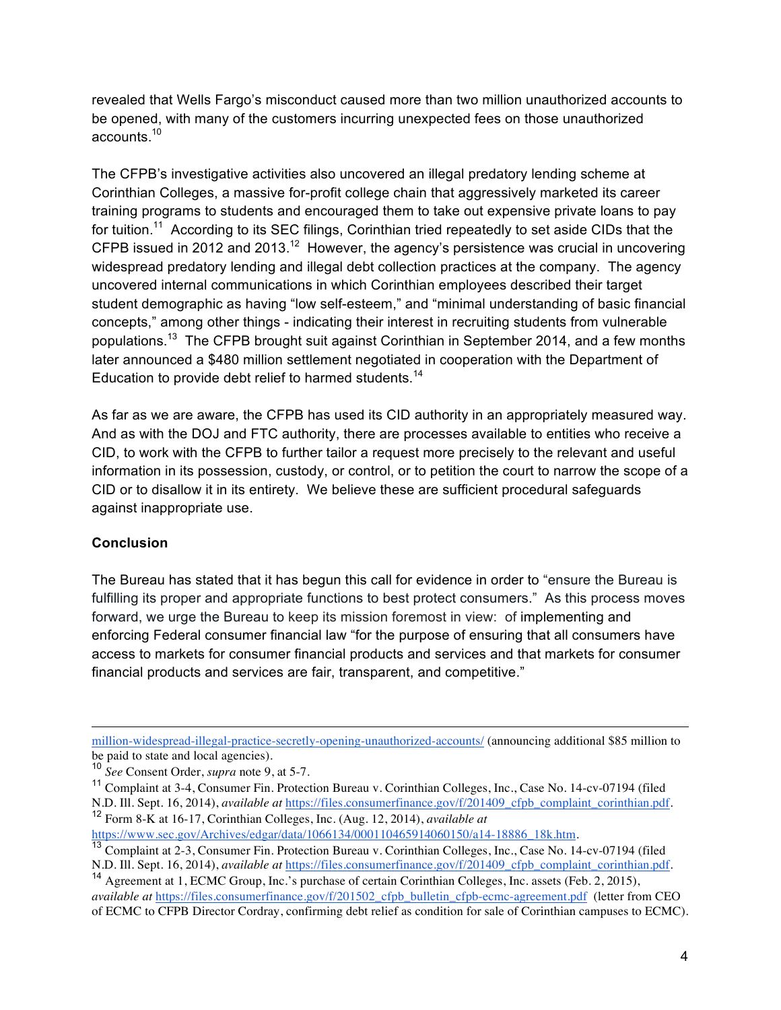revealed that Wells Fargo's misconduct caused more than two million unauthorized accounts to be opened, with many of the customers incurring unexpected fees on those unauthorized accounts.<sup>10</sup>

The CFPB's investigative activities also uncovered an illegal predatory lending scheme at Corinthian Colleges, a massive for-profit college chain that aggressively marketed its career training programs to students and encouraged them to take out expensive private loans to pay for tuition.<sup>11</sup> According to its SEC filings, Corinthian tried repeatedly to set aside CIDs that the CFPB issued in 2012 and 2013.<sup>12</sup> However, the agency's persistence was crucial in uncovering widespread predatory lending and illegal debt collection practices at the company. The agency uncovered internal communications in which Corinthian employees described their target student demographic as having "low self-esteem," and "minimal understanding of basic financial concepts," among other things - indicating their interest in recruiting students from vulnerable populations.13 The CFPB brought suit against Corinthian in September 2014, and a few months later announced a \$480 million settlement negotiated in cooperation with the Department of Education to provide debt relief to harmed students.<sup>14</sup>

As far as we are aware, the CFPB has used its CID authority in an appropriately measured way. And as with the DOJ and FTC authority, there are processes available to entities who receive a CID, to work with the CFPB to further tailor a request more precisely to the relevant and useful information in its possession, custody, or control, or to petition the court to narrow the scope of a CID or to disallow it in its entirety. We believe these are sufficient procedural safeguards against inappropriate use.

## **Conclusion**

 $\overline{a}$ 

The Bureau has stated that it has begun this call for evidence in order to "ensure the Bureau is fulfilling its proper and appropriate functions to best protect consumers." As this process moves forward, we urge the Bureau to keep its mission foremost in view: of implementing and enforcing Federal consumer financial law "for the purpose of ensuring that all consumers have access to markets for consumer financial products and services and that markets for consumer financial products and services are fair, transparent, and competitive."

million-widespread-illegal-practice-secretly-opening-unauthorized-accounts/ (announcing additional \$85 million to be paid to state and local agencies).

N.D. Ill. Sept. 16, 2014), *available at* https://files.consumerfinance.gov/f/201409\_cfpb\_complaint\_corinthian.pdf.<br><sup>12</sup> Form 8-K at 16-17, Corinthian Colleges, Inc. (Aug. 12, 2014), *available at*<br>https://www.sec.gov/Arch

<sup>10</sup> *See* Consent Order, *supra* note 9, at 5-7.

<sup>11</sup> Complaint at 3-4, Consumer Fin. Protection Bureau v. Corinthian Colleges, Inc., Case No. 14-cv-07194 (filed

<sup>&</sup>lt;sup>13</sup> Complaint at 2-3, Consumer Fin. Protection Bureau v. Corinthian Colleges, Inc., Case No. 14-cv-07194 (filed N.D. Ill. Sept. 16, 2014), *available at https://files.consumerfinance.gov/f/201409 cfpb complaint corinthia* 

<sup>&</sup>lt;sup>14</sup> Agreement at 1, ECMC Group, Inc.'s purchase of certain Corinthian Colleges, Inc. assets (Feb. 2, 2015), *available at* https://files.consumerfinance.gov/f/201502\_cfpb\_bulletin\_cfpb-ecmc-agreement.pdf (letter from CEO

of ECMC to CFPB Director Cordray, confirming debt relief as condition for sale of Corinthian campuses to ECMC).